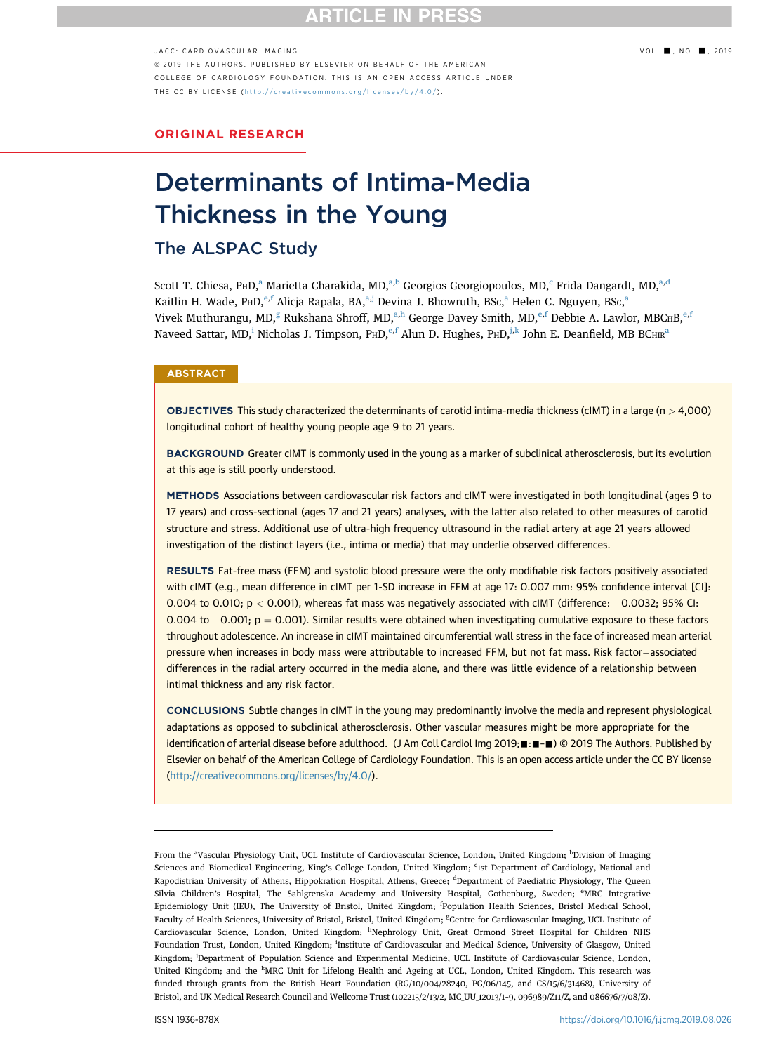# **RTICLE IN PRES**

### $JACC: CAPIOVASCUI AR IMAGING$   $VOL.$   $\blacksquare$ , NO.  $\blacksquare$ , 2019

ª 2019 THE AUTHORS. PUBLISHED BY ELSEVIER ON BEHALF OF THE AMERICAN COLLEGE OF CARDIOLOGY FOUNDATION. THIS IS AN OPEN ACCESS ARTICLE UNDER THE CC BY LICENSE ( <http://creativecommons.org/licenses/by/4.0/> ) .

ORIGINAL RESEARCH

# Determinants of Intima-Media Thickness in the Young

# The ALSPAC Study

Scott T. Chiesa, P $HD<sup>a</sup>$  Marietta Charakida, MD,<sup>a,b</sup> Georgios Georgiopoulos, MD,<sup>c</sup> Frida Dangardt, MD,<sup>a,d</sup> Kaitlin H. Wade, P<code>HD,</code><sup>e,f</sup> Alicja Rapala, BA,ª,j Devina J. Bhowruth, BSc,ª Helen C. Nguyen, BSc,ª Vivek Muthurangu, MD,<sup>g</sup> Rukshana Shroff, MD,<sup>a,h</sup> George Davey Smith, MD,<sup>e,f</sup> Debbie A. Lawlor, MBC<sub>H</sub>B,<sup>e,f</sup> Naveed Sattar, MD,<sup>i</sup> Nicholas J. Timpson, P $HD$ ,  ${}^{\varphi,f}$  Alun D. Hughes, P $HD$ ,  ${}^{j,k}$  John E. Deanfield, MB BC $HIR^a$ 

### **ABSTRACT**

**OBJECTIVES** This study characterized the determinants of carotid intima-media thickness (cIMT) in a large ( $n > 4,000$ ) longitudinal cohort of healthy young people age 9 to 21 years.

BACKGROUND Greater cIMT is commonly used in the young as a marker of subclinical atherosclerosis, but its evolution at this age is still poorly understood.

METHODS Associations between cardiovascular risk factors and cIMT were investigated in both longitudinal (ages 9 to 17 years) and cross-sectional (ages 17 and 21 years) analyses, with the latter also related to other measures of carotid structure and stress. Additional use of ultra-high frequency ultrasound in the radial artery at age 21 years allowed investigation of the distinct layers (i.e., intima or media) that may underlie observed differences.

RESULTS Fat-free mass (FFM) and systolic blood pressure were the only modifiable risk factors positively associated with cIMT (e.g., mean difference in cIMT per 1-SD increase in FFM at age 17: 0.007 mm: 95% confidence interval [CI]: 0.004 to 0.010;  $p < 0.001$ ), whereas fat mass was negatively associated with cIMT (difference:  $-0.0032$ ; 95% CI: 0.004 to  $-0.001$ ;  $p = 0.001$ ). Similar results were obtained when investigating cumulative exposure to these factors throughout adolescence. An increase in cIMT maintained circumferential wall stress in the face of increased mean arterial pressure when increases in body mass were attributable to increased FFM, but not fat mass. Risk factor-associated differences in the radial artery occurred in the media alone, and there was little evidence of a relationship between intimal thickness and any risk factor.

CONCLUSIONS Subtle changes in cIMT in the young may predominantly involve the media and represent physiological adaptations as opposed to subclinical atherosclerosis. Other vascular measures might be more appropriate for the identification of arterial disease before adulthood. (J Am Coll Cardiol Img 2019;  $\blacksquare$ : $\blacksquare$   $\blacksquare$ ) © 2019 The Authors. Published by Elsevier on behalf of the American College of Cardiology Foundation. This is an open access article under the CC BY license [\(http://creativecommons.org/licenses/by/4.0/](http://creativecommons.org/licenses/by/4.0/)).

From the <sup>a</sup>Vascular Physiology Unit, UCL Institute of Cardiovascular Science, London, United Kingdom; <sup>b</sup>Division of Imaging Sciences and Biomedical Engineering, King's College London, United Kingdom; <sup>c</sup>ist Department of Cardiology, National and Kapodistrian University of Athens, Hippokration Hospital, Athens, Greece; <sup>d</sup>Department of Paediatric Physiology, The Queen Silvia Children's Hospital, The Sahlgrenska Academy and University Hospital, Gothenburg, Sweden; <sup>e</sup>MRC Integrative Epidemiology Unit (IEU), The University of Bristol, United Kingdom; <sup>f</sup>Population Health Sciences, Bristol Medical School, Faculty of Health Sciences, University of Bristol, Bristol, United Kingdom; <sup>g</sup>Centre for Cardiovascular Imaging, UCL Institute of Cardiovascular Science, London, United Kingdom; <sup>h</sup>Nephrology Unit, Great Ormond Street Hospital for Children NHS Foundation Trust, London, United Kingdom; <sup>i</sup>Institute of Cardiovascular and Medical Science, University of Glasgow, United Kingdom; <sup>j</sup>Department of Population Science and Experimental Medicine, UCL Institute of Cardiovascular Science, London, United Kingdom; and the <sup>k</sup>MRC Unit for Lifelong Health and Ageing at UCL, London, United Kingdom. This research was funded through grants from the British Heart Foundation (RG/10/004/28240, PG/06/145, and CS/15/6/31468), University of Bristol, and UK Medical Research Council and Wellcome Trust (102215/2/13/2, MC\_UU\_12013/1–9, 096989/Z11/Z, and 086676/7/08/Z).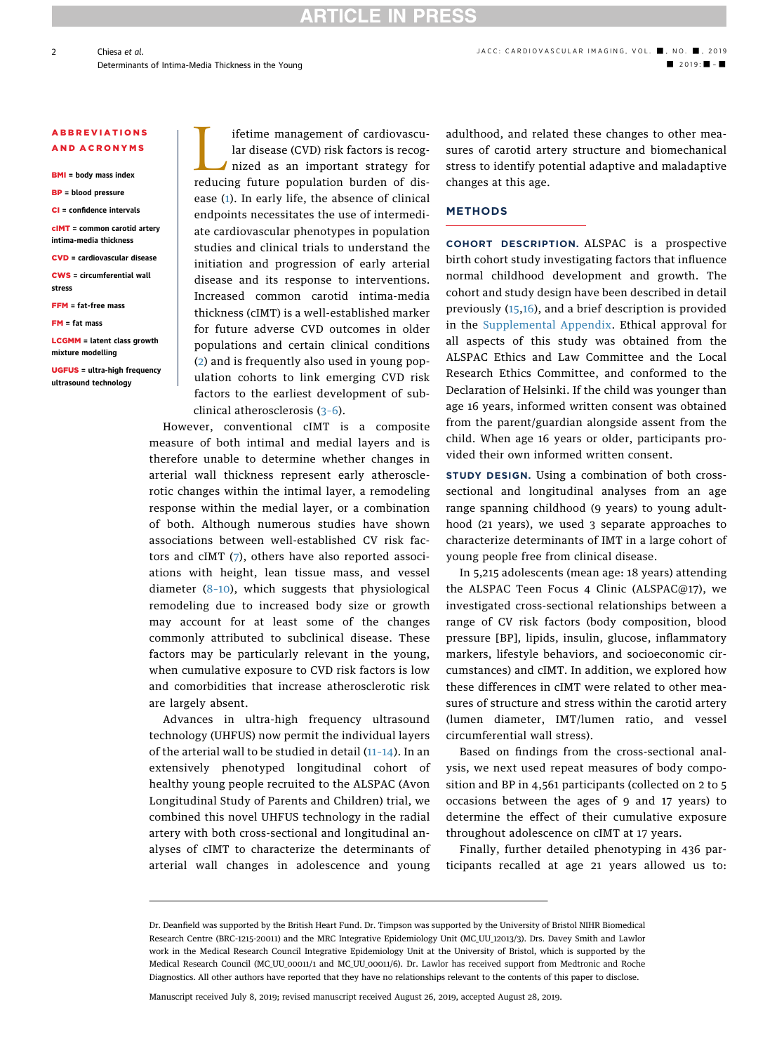**RTICLE IN PRESS** 

### ABBREVIATIONS AND ACRONYMS

BMI = body mass index

- BP = blood pressure
- CI = confidence intervals
- cIMT = common carotid artery intima-media thickness
- CVD = cardiovascular disease CWS = circumferential wall
- stress FFM = fat-free mass
- FM = fat mass
- LCGMM = latent class growth mixture modelling

UGFUS = ultra-high frequency ultrasound technology

Ifetime management of cardiovascular disease (CVD) risk factors is recognized as an important strategy for reducing future population burden of dislar disease (CVD) risk factors is recognized as an important strategy for reducing future population burden of disease ([1](#page-10-0)). In early life, the absence of clinical endpoints necessitates the use of intermediate cardiovascular phenotypes in population studies and clinical trials to understand the initiation and progression of early arterial disease and its response to interventions. Increased common carotid intima-media thickness (cIMT) is a well-established marker for future adverse CVD outcomes in older populations and certain clinical conditions ([2\)](#page-10-0) and is frequently also used in young population cohorts to link emerging CVD risk factors to the earliest development of subclinical atherosclerosis (3–[6\)](#page-10-0).

However, conventional cIMT is a composite measure of both intimal and medial layers and is therefore unable to determine whether changes in arterial wall thickness represent early atherosclerotic changes within the intimal layer, a remodeling response within the medial layer, or a combination of both. Although numerous studies have shown associations between well-established CV risk factors and cIMT ([7\)](#page-10-0), others have also reported associations with height, lean tissue mass, and vessel diameter (8–[10](#page-10-0)), which suggests that physiological remodeling due to increased body size or growth may account for at least some of the changes commonly attributed to subclinical disease. These factors may be particularly relevant in the young, when cumulative exposure to CVD risk factors is low and comorbidities that increase atherosclerotic risk are largely absent.

Advances in ultra-high frequency ultrasound technology (UHFUS) now permit the individual layers of the arterial wall to be studied in detail (11–[14](#page-10-0)). In an extensively phenotyped longitudinal cohort of healthy young people recruited to the ALSPAC (Avon Longitudinal Study of Parents and Children) trial, we combined this novel UHFUS technology in the radial artery with both cross-sectional and longitudinal analyses of cIMT to characterize the determinants of arterial wall changes in adolescence and young

adulthood, and related these changes to other measures of carotid artery structure and biomechanical stress to identify potential adaptive and maladaptive changes at this age.

### METHODS

COHORT DESCRIPTION. ALSPAC is a prospective birth cohort study investigating factors that influence normal childhood development and growth. The cohort and study design have been described in detail previously ([15,16\)](#page-10-0), and a brief description is provided in the [Supplemental Appendix.](https://doi.org/10.1016/j.jcmg.2019.08.026) Ethical approval for all aspects of this study was obtained from the ALSPAC Ethics and Law Committee and the Local Research Ethics Committee, and conformed to the Declaration of Helsinki. If the child was younger than age 16 years, informed written consent was obtained from the parent/guardian alongside assent from the child. When age 16 years or older, participants provided their own informed written consent.

STUDY DESIGN. Using a combination of both crosssectional and longitudinal analyses from an age range spanning childhood (9 years) to young adulthood (21 years), we used 3 separate approaches to characterize determinants of IMT in a large cohort of young people free from clinical disease.

In 5,215 adolescents (mean age: 18 years) attending the ALSPAC Teen Focus 4 Clinic (ALSPAC@17), we investigated cross-sectional relationships between a range of CV risk factors (body composition, blood pressure [BP], lipids, insulin, glucose, inflammatory markers, lifestyle behaviors, and socioeconomic circumstances) and cIMT. In addition, we explored how these differences in cIMT were related to other measures of structure and stress within the carotid artery (lumen diameter, IMT/lumen ratio, and vessel circumferential wall stress).

Based on findings from the cross-sectional analysis, we next used repeat measures of body composition and BP in 4,561 participants (collected on 2 to 5 occasions between the ages of 9 and 17 years) to determine the effect of their cumulative exposure throughout adolescence on cIMT at 17 years.

Finally, further detailed phenotyping in 436 participants recalled at age 21 years allowed us to:

Manuscript received July 8, 2019; revised manuscript received August 26, 2019, accepted August 28, 2019.

Dr. Deanfield was supported by the British Heart Fund. Dr. Timpson was supported by the University of Bristol NIHR Biomedical Research Centre (BRC-1215-20011) and the MRC Integrative Epidemiology Unit (MC\_UU\_12013/3). Drs. Davey Smith and Lawlor work in the Medical Research Council Integrative Epidemiology Unit at the University of Bristol, which is supported by the Medical Research Council (MC\_UU\_00011/1 and MC\_UU\_00011/6). Dr. Lawlor has received support from Medtronic and Roche Diagnostics. All other authors have reported that they have no relationships relevant to the contents of this paper to disclose.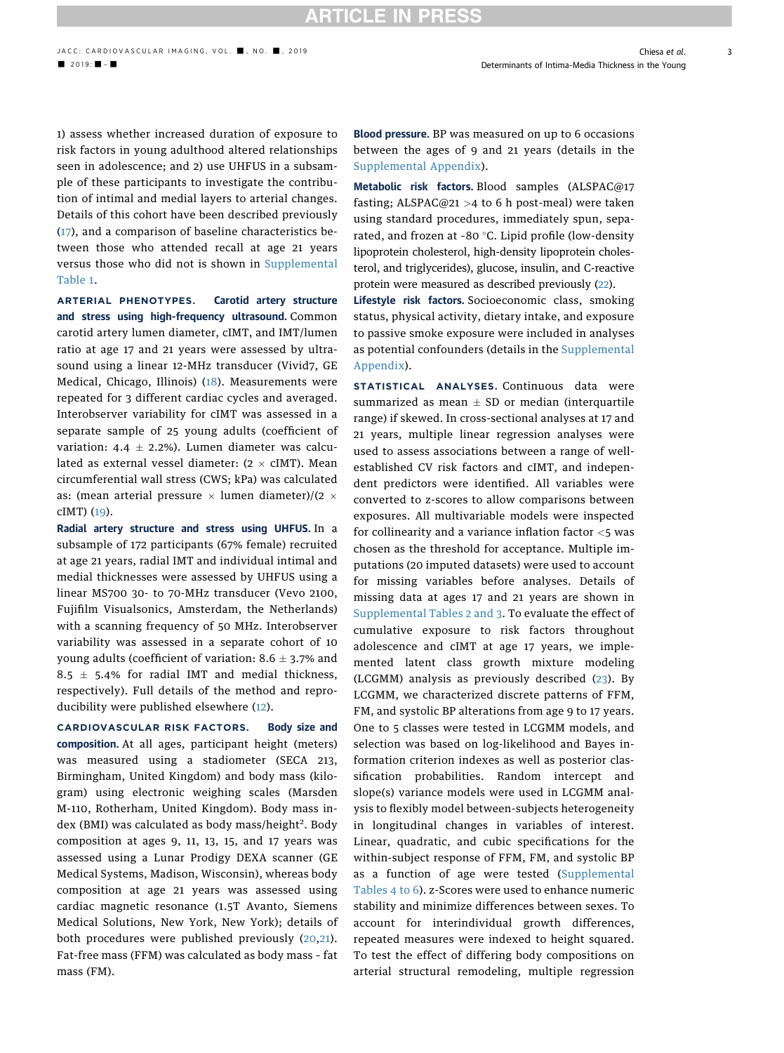1) assess whether increased duration of exposure to risk factors in young adulthood altered relationships seen in adolescence; and 2) use UHFUS in a subsample of these participants to investigate the contribution of intimal and medial layers to arterial changes. Details of this cohort have been described previously ([17](#page-10-0)), and a comparison of baseline characteristics between those who attended recall at age 21 years versus those who did not is shown in [Supplemental](https://doi.org/10.1016/j.jcmg.2019.08.026) [Table 1](https://doi.org/10.1016/j.jcmg.2019.08.026).

ARTERIAL PHENOTYPES. Carotid artery structure and stress using high-frequency ultrasound. Common carotid artery lumen diameter, cIMT, and IMT/lumen ratio at age 17 and 21 years were assessed by ultrasound using a linear 12-MHz transducer (Vivid7, GE Medical, Chicago, Illinois) [\(18\)](#page-10-0). Measurements were repeated for 3 different cardiac cycles and averaged. Interobserver variability for cIMT was assessed in a separate sample of 25 young adults (coefficient of variation: 4.4  $\pm$  2.2%). Lumen diameter was calculated as external vessel diameter:  $(2 \times cIMT)$ . Mean circumferential wall stress (CWS; kPa) was calculated as: (mean arterial pressure  $\times$  lumen diameter)/(2  $\times$ cIMT) ([19\)](#page-10-0).

Radial artery structure and stress using UHFUS. In a subsample of 172 participants (67% female) recruited at age 21 years, radial IMT and individual intimal and medial thicknesses were assessed by UHFUS using a linear MS700 30- to 70-MHz transducer (Vevo 2100, Fujifilm Visualsonics, Amsterdam, the Netherlands) with a scanning frequency of 50 MHz. Interobserver variability was assessed in a separate cohort of 10 young adults (coefficient of variation:  $8.6 \pm 3.7\%$  and  $8.5 \pm 5.4\%$  for radial IMT and medial thickness, respectively). Full details of the method and reproducibility were published elsewhere ([12\)](#page-10-0).

CARDIOVASCULAR RISK FACTORS. Body size and composition. At all ages, participant height (meters) was measured using a stadiometer (SECA 213, Birmingham, United Kingdom) and body mass (kilogram) using electronic weighing scales (Marsden M-110, Rotherham, United Kingdom). Body mass index (BMI) was calculated as body mass/height<sup>2</sup>. Body composition at ages 9, 11, 13, 15, and 17 years was assessed using a Lunar Prodigy DEXA scanner (GE Medical Systems, Madison, Wisconsin), whereas body composition at age 21 years was assessed using cardiac magnetic resonance (1.5T Avanto, Siemens Medical Solutions, New York, New York); details of both procedures were published previously ([20](#page-10-0),[21\)](#page-10-0). Fat-free mass (FFM) was calculated as body mass – fat mass (FM).

Blood pressure. BP was measured on up to 6 occasions between the ages of 9 and 21 years (details in the [Supplemental Appendix\)](https://doi.org/10.1016/j.jcmg.2019.08.026).

Metabolic risk factors. Blood samples (ALSPAC@17 fasting; ALSPAC@21 >4 to 6 h post-meal) were taken using standard procedures, immediately spun, separated, and frozen at -80 $\degree$ C. Lipid profile (low-density lipoprotein cholesterol, high-density lipoprotein cholesterol, and triglycerides), glucose, insulin, and C-reactive protein were measured as described previously ([22\)](#page-10-0).

Lifestyle risk factors. Socioeconomic class, smoking status, physical activity, dietary intake, and exposure to passive smoke exposure were included in analyses as potential confounders (details in the [Supplemental](https://doi.org/10.1016/j.jcmg.2019.08.026) [Appendix\)](https://doi.org/10.1016/j.jcmg.2019.08.026).

STATISTICAL ANALYSES. Continuous data were summarized as mean  $\pm$  SD or median (interquartile range) if skewed. In cross-sectional analyses at 17 and 21 years, multiple linear regression analyses were used to assess associations between a range of wellestablished CV risk factors and cIMT, and independent predictors were identified. All variables were converted to z-scores to allow comparisons between exposures. All multivariable models were inspected for collinearity and a variance inflation factor  $<$ 5 was chosen as the threshold for acceptance. Multiple imputations (20 imputed datasets) were used to account for missing variables before analyses. Details of missing data at ages 17 and 21 years are shown in [Supplemental Tables 2 and 3](https://doi.org/10.1016/j.jcmg.2019.08.026). To evaluate the effect of cumulative exposure to risk factors throughout adolescence and cIMT at age 17 years, we implemented latent class growth mixture modeling (LCGMM) analysis as previously described [\(23\)](#page-10-0). By LCGMM, we characterized discrete patterns of FFM, FM, and systolic BP alterations from age 9 to 17 years. One to 5 classes were tested in LCGMM models, and selection was based on log-likelihood and Bayes information criterion indexes as well as posterior classification probabilities. Random intercept and slope(s) variance models were used in LCGMM analysis to flexibly model between-subjects heterogeneity in longitudinal changes in variables of interest. Linear, quadratic, and cubic specifications for the within-subject response of FFM, FM, and systolic BP as a function of age were tested ([Supplemental](https://doi.org/10.1016/j.jcmg.2019.08.026) [Tables 4 to 6](https://doi.org/10.1016/j.jcmg.2019.08.026)). z-Scores were used to enhance numeric stability and minimize differences between sexes. To account for interindividual growth differences, repeated measures were indexed to height squared. To test the effect of differing body compositions on arterial structural remodeling, multiple regression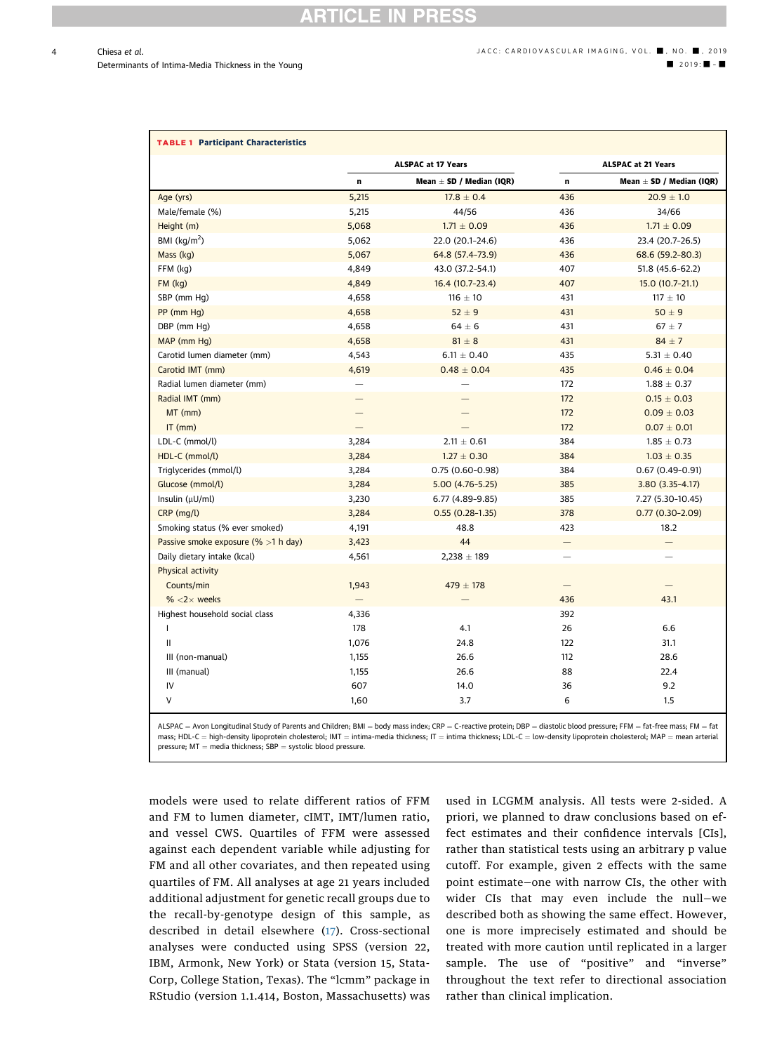TABLE 1

<span id="page-3-0"></span>

Mean  $\pm$  SD / Median (IQR)

| <b>TABLE 1 Participant Characteristics</b> |                           |                              |                           |                       |
|--------------------------------------------|---------------------------|------------------------------|---------------------------|-----------------------|
|                                            | <b>ALSPAC at 17 Years</b> |                              | <b>ALSPAC at 21 Years</b> |                       |
|                                            | n                         | Mean $\pm$ SD / Median (IQR) | n                         | Mean $\pm$ SD / Media |
| Age (yrs)                                  | 5,215                     | $17.8 \pm 0.4$               | 436                       | $20.9 \pm 1.0$        |
| Male/female (%)                            | 5.215                     | 44/56                        | 436                       | 34/66                 |
| Height (m)                                 | 5.068                     | $1.71 \pm 0.09$              | 436                       | $1.71 \pm 0.09$       |

| Height (m)                            | 5,068 | $1.71 \pm 0.09$   | 436 | $1.71 \pm 0.09$     |
|---------------------------------------|-------|-------------------|-----|---------------------|
| BMI $(kq/m2)$                         | 5,062 | 22.0 (20.1-24.6)  | 436 | 23.4 (20.7-26.5)    |
| Mass (kg)                             | 5,067 | 64.8 (57.4-73.9)  | 436 | 68.6 (59.2-80.3)    |
| FFM (kg)                              | 4,849 | 43.0 (37.2-54.1)  | 407 | 51.8 (45.6-62.2)    |
| $FM$ ( $kg$ )                         | 4,849 | 16.4 (10.7-23.4)  | 407 | $15.0(10.7-21.1)$   |
| SBP (mm Hq)                           | 4,658 | $116 \pm 10$      | 431 | $117 \pm 10$        |
| PP (mm Hg)                            | 4,658 | $52 \pm 9$        | 431 | $50 \pm 9$          |
| DBP (mm Hg)                           | 4,658 | $64 \pm 6$        | 431 | $67 \pm 7$          |
| MAP (mm Hg)                           | 4,658 | $81\pm8$          | 431 | $84 \pm 7$          |
| Carotid lumen diameter (mm)           | 4,543 | $6.11 \pm 0.40$   | 435 | $5.31 \pm 0.40$     |
| Carotid IMT (mm)                      | 4,619 | $0.48 \pm 0.04$   | 435 | $0.46 \pm 0.04$     |
| Radial lumen diameter (mm)            |       |                   | 172 | $1.88 \pm 0.37$     |
| Radial IMT (mm)                       |       |                   | 172 | $0.15 \pm 0.03$     |
| $MT$ (mm)                             |       |                   | 172 | $0.09 \pm 0.03$     |
| $IT$ (mm)                             |       |                   | 172 | $0.07 \pm 0.01$     |
| LDL-C (mmol/l)                        | 3,284 | $2.11 \pm 0.61$   | 384 | $1.85 \pm 0.73$     |
| HDL-C (mmol/l)                        | 3,284 | $1.27 \pm 0.30$   | 384 | $1.03 \pm 0.35$     |
| Triglycerides (mmol/l)                | 3,284 | $0.75(0.60-0.98)$ | 384 | $0.67(0.49 - 0.91)$ |
| Glucose (mmol/l)                      | 3,284 | $5.00(4.76-5.25)$ | 385 | $3.80(3.35-4.17)$   |
| Insulin $(\mu U/ml)$                  | 3,230 | 6.77 (4.89-9.85)  | 385 | 7.27 (5.30-10.45)   |
| CRP (mg/l)                            | 3,284 | $0.55(0.28-1.35)$ | 378 | $0.77(0.30-2.09)$   |
| Smoking status (% ever smoked)        | 4,191 | 48.8              | 423 | 18.2                |
| Passive smoke exposure (% $>1$ h day) | 3,423 | 44                |     |                     |
| Daily dietary intake (kcal)           | 4,561 | $2,238 \pm 189$   | -   |                     |
| Physical activity                     |       |                   |     |                     |
| Counts/min                            | 1,943 | $479 \pm 178$     |     |                     |
| % $<$ 2 $\times$ weeks                |       |                   | 436 | 43.1                |
| Highest household social class        | 4,336 |                   | 392 |                     |
| T                                     | 178   | 4.1               | 26  | 6.6                 |
| Ш                                     | 1,076 | 24.8              | 122 | 31.1                |
| III (non-manual)                      | 1,155 | 26.6              | 112 | 28.6                |
| III (manual)                          | 1,155 | 26.6              | 88  | 22.4                |
| IV                                    | 607   | 14.0              | 36  | 9.2                 |
| V                                     | 1,60  | 3.7               | 6   | 1.5                 |
|                                       |       |                   |     |                     |

 $ALSPAC =$  Avon Longitudinal Study of Parents and Children; BMI = body mass index; CRP = C-reactive protein; DBP = diastolic blood pressure; FFM = fat-free mass; FM = fat mass; HDL-C = high-density lipoprotein cholesterol; IMT = intima-media thickness; IT = intima thickness; LDL-C = low-density lipoprotein cholesterol; MAP = mean arterial  $pressure; MT = media thickness; SBP = systolic blood pressure.$ 

models were used to relate different ratios of FFM and FM to lumen diameter, cIMT, IMT/lumen ratio, and vessel CWS. Quartiles of FFM were assessed against each dependent variable while adjusting for FM and all other covariates, and then repeated using quartiles of FM. All analyses at age 21 years included additional adjustment for genetic recall groups due to the recall-by-genotype design of this sample, as described in detail elsewhere [\(17\)](#page-10-0). Cross-sectional analyses were conducted using SPSS (version 22, IBM, Armonk, New York) or Stata (version 15, Stata-Corp, College Station, Texas). The "lcmm" package in RStudio (version 1.1.414, Boston, Massachusetts) was used in LCGMM analysis. All tests were 2-sided. A priori, we planned to draw conclusions based on effect estimates and their confidence intervals [CIs], rather than statistical tests using an arbitrary p value cutoff. For example, given 2 effects with the same point estimate—one with narrow CIs, the other with wider CIs that may even include the null—we described both as showing the same effect. However, one is more imprecisely estimated and should be treated with more caution until replicated in a larger sample. The use of "positive" and "inverse" throughout the text refer to directional association rather than clinical implication.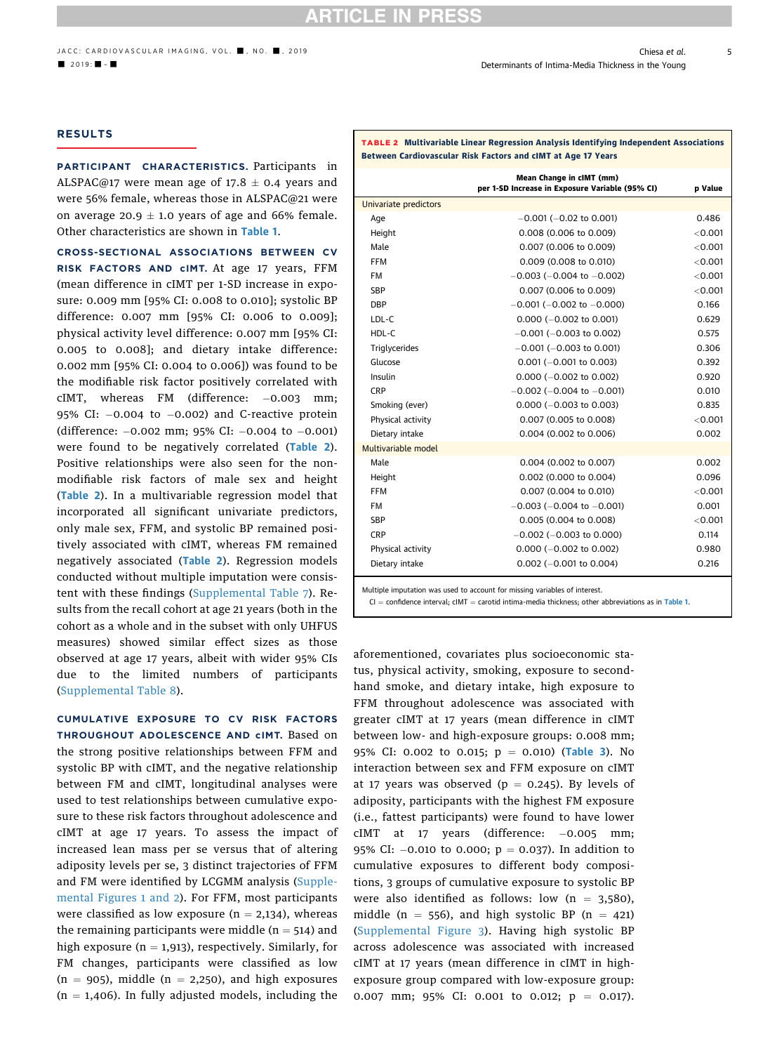### <span id="page-4-0"></span>RESULTS

PARTICIPANT CHARACTERISTICS. Participants in ALSPAC@17 were mean age of 17.8  $\pm$  0.4 years and were 56% female, whereas those in ALSPAC@21 were on average 20.9  $\pm$  1.0 years of age and 66% female. Other characteristics are shown in [Table 1](#page-3-0).

CROSS-SECTIONAL ASSOCIATIONS BETWEEN CV RISK FACTORS AND cIMT. At age 17 years, FFM (mean difference in cIMT per 1-SD increase in exposure: 0.009 mm [95% CI: 0.008 to 0.010]; systolic BP difference: 0.007 mm [95% CI: 0.006 to 0.009]; physical activity level difference: 0.007 mm [95% CI: 0.005 to 0.008]; and dietary intake difference: 0.002 mm [95% CI: 0.004 to 0.006]) was found to be the modifiable risk factor positively correlated with cIMT, whereas FM (difference:  $-0.003$  mm; 95% CI:  $-0.004$  to  $-0.002$ ) and C-reactive protein (difference:  $-0.002$  mm; 95% CI:  $-0.004$  to  $-0.001$ ) were found to be negatively correlated (Table 2). Positive relationships were also seen for the nonmodifiable risk factors of male sex and height (Table 2). In a multivariable regression model that incorporated all significant univariate predictors, only male sex, FFM, and systolic BP remained positively associated with cIMT, whereas FM remained negatively associated (Table 2). Regression models conducted without multiple imputation were consistent with these findings ([Supplemental Table 7\)](https://doi.org/10.1016/j.jcmg.2019.08.026). Results from the recall cohort at age 21 years (both in the cohort as a whole and in the subset with only UHFUS measures) showed similar effect sizes as those observed at age 17 years, albeit with wider 95% CIs due to the limited numbers of participants ([Supplemental Table 8\)](https://doi.org/10.1016/j.jcmg.2019.08.026).

CUMULATIVE EXPOSURE TO CV RISK FACTORS THROUGHOUT ADOLESCENCE AND cIMT. Based on the strong positive relationships between FFM and systolic BP with cIMT, and the negative relationship between FM and cIMT, longitudinal analyses were used to test relationships between cumulative exposure to these risk factors throughout adolescence and cIMT at age 17 years. To assess the impact of increased lean mass per se versus that of altering adiposity levels per se, 3 distinct trajectories of FFM and FM were identified by LCGMM analysis ([Supple](https://doi.org/10.1016/j.jcmg.2019.08.026)[mental Figures 1 and 2](https://doi.org/10.1016/j.jcmg.2019.08.026)). For FFM, most participants were classified as low exposure ( $n = 2,134$ ), whereas the remaining participants were middle ( $n = 514$ ) and high exposure ( $n = 1,913$ ), respectively. Similarly, for FM changes, participants were classified as low  $(n = 905)$ , middle  $(n = 2,250)$ , and high exposures  $(n = 1,406)$ . In fully adjusted models, including the

| Between Cardiovascular Risk Factors and cIMT at Age 17 Years |                                                                             |            |  |  |  |
|--------------------------------------------------------------|-----------------------------------------------------------------------------|------------|--|--|--|
|                                                              | Mean Change in cIMT (mm)<br>per 1-SD Increase in Exposure Variable (95% CI) | p Value    |  |  |  |
| Univariate predictors                                        |                                                                             |            |  |  |  |
| Age                                                          | $-0.001$ ( $-0.02$ to 0.001)                                                | 0.486      |  |  |  |
| Height                                                       | 0.008 (0.006 to 0.009)                                                      | ${<}0.001$ |  |  |  |
| Male                                                         | 0.007 (0.006 to 0.009)                                                      | < 0.001    |  |  |  |
| FFM                                                          | 0.009 (0.008 to 0.010)                                                      | < 0.001    |  |  |  |
| <b>FM</b>                                                    | $-0.003$ ( $-0.004$ to $-0.002$ )                                           | < 0.001    |  |  |  |
| SBP                                                          | 0.007 (0.006 to 0.009)                                                      | < 0.001    |  |  |  |
| <b>DBP</b>                                                   | $-0.001$ ( $-0.002$ to $-0.000$ )                                           | 0.166      |  |  |  |
| LDL-C                                                        | $0.000 (-0.002 \text{ to } 0.001)$                                          | 0.629      |  |  |  |
| HDL-C                                                        | $-0.001$ ( $-0.003$ to 0.002)                                               | 0.575      |  |  |  |
| Triglycerides                                                | $-0.001$ ( $-0.003$ to 0.001)                                               | 0.306      |  |  |  |
| Glucose                                                      | $0.001 (-0.001$ to $0.003)$                                                 | 0.392      |  |  |  |
| Insulin                                                      | $0.000 (-0.002$ to $0.002)$                                                 | 0.920      |  |  |  |
| <b>CRP</b>                                                   | $-0.002$ ( $-0.004$ to $-0.001$ )                                           | 0.010      |  |  |  |
| Smoking (ever)                                               | $0.000 (-0.003$ to $0.003)$                                                 | 0.835      |  |  |  |
| Physical activity                                            | 0.007 (0.005 to 0.008)                                                      | < 0.001    |  |  |  |
| Dietary intake                                               | 0.004 (0.002 to 0.006)                                                      | 0.002      |  |  |  |
| Multivariable model                                          |                                                                             |            |  |  |  |
| Male                                                         | 0.004 (0.002 to 0.007)                                                      | 0.002      |  |  |  |
| Height                                                       | 0.002 (0.000 to 0.004)                                                      | 0.096      |  |  |  |
| FFM                                                          | 0.007 (0.004 to 0.010)                                                      | < 0.001    |  |  |  |
| FM                                                           | $-0.003$ ( $-0.004$ to $-0.001$ )                                           | 0.001      |  |  |  |
| <b>SBP</b>                                                   | 0.005 (0.004 to 0.008)                                                      | ${<}0.001$ |  |  |  |
| <b>CRP</b>                                                   | $-0.002$ ( $-0.003$ to 0.000)                                               | 0.114      |  |  |  |
| Physical activity                                            | $0.000 (-0.002$ to $0.002)$                                                 | 0.980      |  |  |  |
| Dietary intake                                               | $0.002$ (-0.001 to 0.004)                                                   | 0.216      |  |  |  |
|                                                              | Multiple imputation was used to account for missing variables of interest.  |            |  |  |  |

TABLE 2 Multivariable Linear Regression Analysis Identifying Independent Associations

 $CI = confidence$  interval;  $cIMT = carotid$  intima-media thickness; other abbreviations as in [Table 1](#page-3-0).

aforementioned, covariates plus socioeconomic status, physical activity, smoking, exposure to secondhand smoke, and dietary intake, high exposure to FFM throughout adolescence was associated with greater cIMT at 17 years (mean difference in cIMT between low- and high-exposure groups: 0.008 mm; 95% CI: 0.002 to 0.015;  $p = 0.010$ ) ([Table 3](#page-5-0)). No interaction between sex and FFM exposure on cIMT at 17 years was observed ( $p = 0.245$ ). By levels of adiposity, participants with the highest FM exposure (i.e., fattest participants) were found to have lower  $cIMT$  at 17 years (difference:  $-0.005$  mm; 95% CI:  $-0.010$  to 0.000;  $p = 0.037$ ). In addition to cumulative exposures to different body compositions, 3 groups of cumulative exposure to systolic BP were also identified as follows: low  $(n = 3,580)$ , middle (n = 556), and high systolic BP (n = 421) ([Supplemental Figure 3](https://doi.org/10.1016/j.jcmg.2019.08.026)). Having high systolic BP across adolescence was associated with increased cIMT at 17 years (mean difference in cIMT in highexposure group compared with low-exposure group: 0.007 mm; 95% CI: 0.001 to 0.012;  $p = 0.017$ ).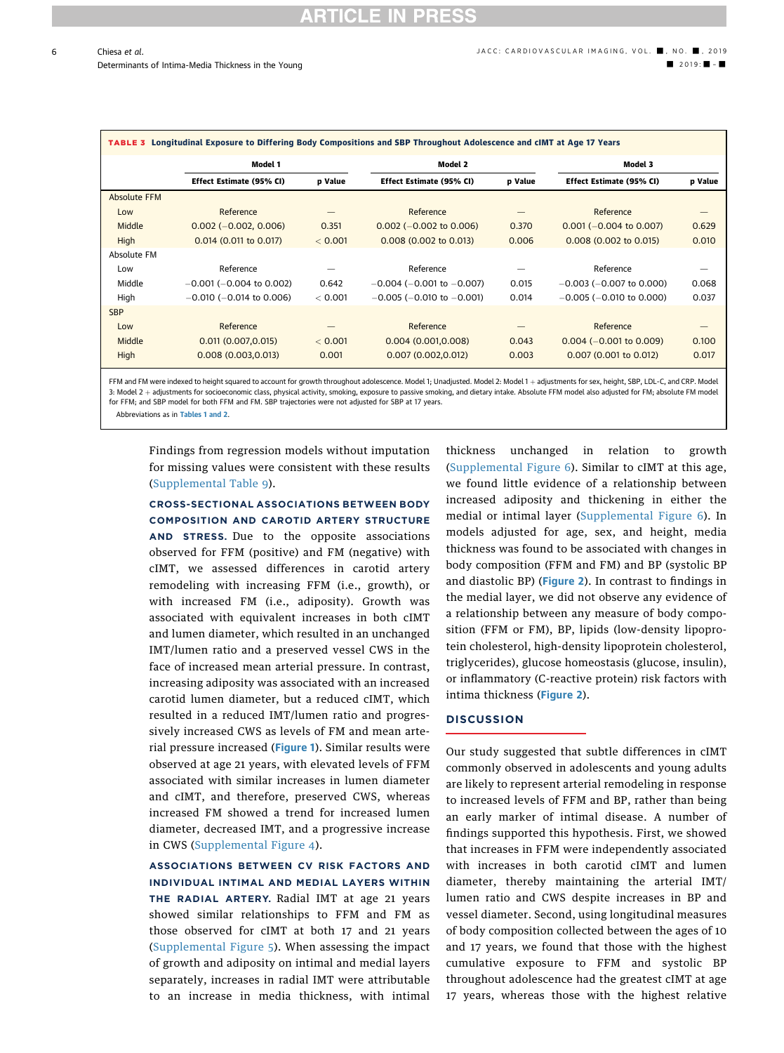<span id="page-5-0"></span>

| Longitudinal Exposure to Differing Body Compositions and SBP Throughout Adolescence and cIMT at Age 17 Years<br><b>TABLE 3</b> |                               |         |                                   |         |                               |         |  |  |
|--------------------------------------------------------------------------------------------------------------------------------|-------------------------------|---------|-----------------------------------|---------|-------------------------------|---------|--|--|
|                                                                                                                                | Model 1                       |         |                                   | Model 2 |                               | Model 3 |  |  |
|                                                                                                                                | Effect Estimate (95% CI)      | p Value | Effect Estimate (95% CI)          | p Value | Effect Estimate (95% CI)      | p Value |  |  |
| <b>Absolute FFM</b>                                                                                                            |                               |         |                                   |         |                               |         |  |  |
| Low                                                                                                                            | Reference                     |         | Reference                         |         | Reference                     |         |  |  |
| Middle                                                                                                                         | $0.002 (-0.002, 0.006)$       | 0.351   | $0.002$ (-0.002 to 0.006)         | 0.370   | $0.001 (-0.004$ to $0.007)$   | 0.629   |  |  |
| High                                                                                                                           | 0.014 (0.011 to 0.017)        | < 0.001 | $0.008$ (0.002 to 0.013)          | 0.006   | 0.008 (0.002 to 0.015)        | 0.010   |  |  |
| Absolute FM                                                                                                                    |                               |         |                                   |         |                               |         |  |  |
| Low                                                                                                                            | Reference                     |         | Reference                         |         | Reference                     |         |  |  |
| Middle                                                                                                                         | $-0.001$ ( $-0.004$ to 0.002) | 0.642   | $-0.004$ ( $-0.001$ to $-0.007$ ) | 0.015   | $-0.003$ ( $-0.007$ to 0.000) | 0.068   |  |  |
| High                                                                                                                           | $-0.010$ ( $-0.014$ to 0.006) | < 0.001 | $-0.005$ ( $-0.010$ to $-0.001$ ) | 0.014   | $-0.005$ ( $-0.010$ to 0.000) | 0.037   |  |  |
| <b>SBP</b>                                                                                                                     |                               |         |                                   |         |                               |         |  |  |
| Low                                                                                                                            | Reference                     |         | Reference                         |         | Reference                     |         |  |  |
| Middle                                                                                                                         | 0.011(0.007, 0.015)           | < 0.001 | 0.004(0.001, 0.008)               | 0.043   | $0.004 (-0.001$ to 0.009)     | 0.100   |  |  |
| High                                                                                                                           | 0.008(0.003, 0.013)           | 0.001   | 0.007(0.002, 0.012)               | 0.003   | 0.007 (0.001 to 0.012)        | 0.017   |  |  |
|                                                                                                                                |                               |         |                                   |         |                               |         |  |  |

FFM and FM were indexed to height squared to account for growth throughout adolescence. Model 1; Unadjusted. Model 2: Model 1 + adjustments for sex, height, SBP, LDL-C, and CRP. Model 3: Model 2 + adjustments for socioeconomic class, physical activity, smoking, exposure to passive smoking, and dietary intake. Absolute FFM model also adjusted for FM; absolute FM model for FFM; and SBP model for both FFM and FM. SBP trajectories were not adjusted for SBP at 17 years.

Abbreviations as in [Tables 1](#page-3-0) and [2](#page-4-0).

Findings from regression models without imputation for missing values were consistent with these results ([Supplemental Table 9](https://doi.org/10.1016/j.jcmg.2019.08.026)).

CROSS-SECTIONAL ASSOCIATIONS BETWEEN BODY COMPOSITION AND CAROTID ARTERY STRUCTURE AND STRESS. Due to the opposite associations observed for FFM (positive) and FM (negative) with cIMT, we assessed differences in carotid artery remodeling with increasing FFM (i.e., growth), or with increased FM (i.e., adiposity). Growth was associated with equivalent increases in both cIMT and lumen diameter, which resulted in an unchanged IMT/lumen ratio and a preserved vessel CWS in the face of increased mean arterial pressure. In contrast, increasing adiposity was associated with an increased carotid lumen diameter, but a reduced cIMT, which resulted in a reduced IMT/lumen ratio and progressively increased CWS as levels of FM and mean arte-rial pressure increased ([Figure 1](#page-6-0)). Similar results were observed at age 21 years, with elevated levels of FFM associated with similar increases in lumen diameter and cIMT, and therefore, preserved CWS, whereas increased FM showed a trend for increased lumen diameter, decreased IMT, and a progressive increase in CWS ([Supplemental Figure 4\)](https://doi.org/10.1016/j.jcmg.2019.08.026).

ASSOCIATIONS BETWEEN CV RISK FACTORS AND INDIVIDUAL INTIMAL AND MEDIAL LAYERS WITHIN THE RADIAL ARTERY. Radial IMT at age 21 years showed similar relationships to FFM and FM as those observed for cIMT at both 17 and 21 years ([Supplemental Figure 5](https://doi.org/10.1016/j.jcmg.2019.08.026)). When assessing the impact of growth and adiposity on intimal and medial layers separately, increases in radial IMT were attributable to an increase in media thickness, with intimal thickness unchanged in relation to growth ([Supplemental Figure 6\)](https://doi.org/10.1016/j.jcmg.2019.08.026). Similar to cIMT at this age, we found little evidence of a relationship between increased adiposity and thickening in either the medial or intimal layer ([Supplemental Figure 6](https://doi.org/10.1016/j.jcmg.2019.08.026)). In models adjusted for age, sex, and height, media thickness was found to be associated with changes in body composition (FFM and FM) and BP (systolic BP and diastolic BP) ([Figure 2](#page-7-0)). In contrast to findings in the medial layer, we did not observe any evidence of a relationship between any measure of body composition (FFM or FM), BP, lipids (low-density lipoprotein cholesterol, high-density lipoprotein cholesterol, triglycerides), glucose homeostasis (glucose, insulin), or inflammatory (C-reactive protein) risk factors with intima thickness ([Figure 2](#page-7-0)).

### **DISCUSSION**

Our study suggested that subtle differences in cIMT commonly observed in adolescents and young adults are likely to represent arterial remodeling in response to increased levels of FFM and BP, rather than being an early marker of intimal disease. A number of findings supported this hypothesis. First, we showed that increases in FFM were independently associated with increases in both carotid cIMT and lumen diameter, thereby maintaining the arterial IMT/ lumen ratio and CWS despite increases in BP and vessel diameter. Second, using longitudinal measures of body composition collected between the ages of 10 and 17 years, we found that those with the highest cumulative exposure to FFM and systolic BP throughout adolescence had the greatest cIMT at age 17 years, whereas those with the highest relative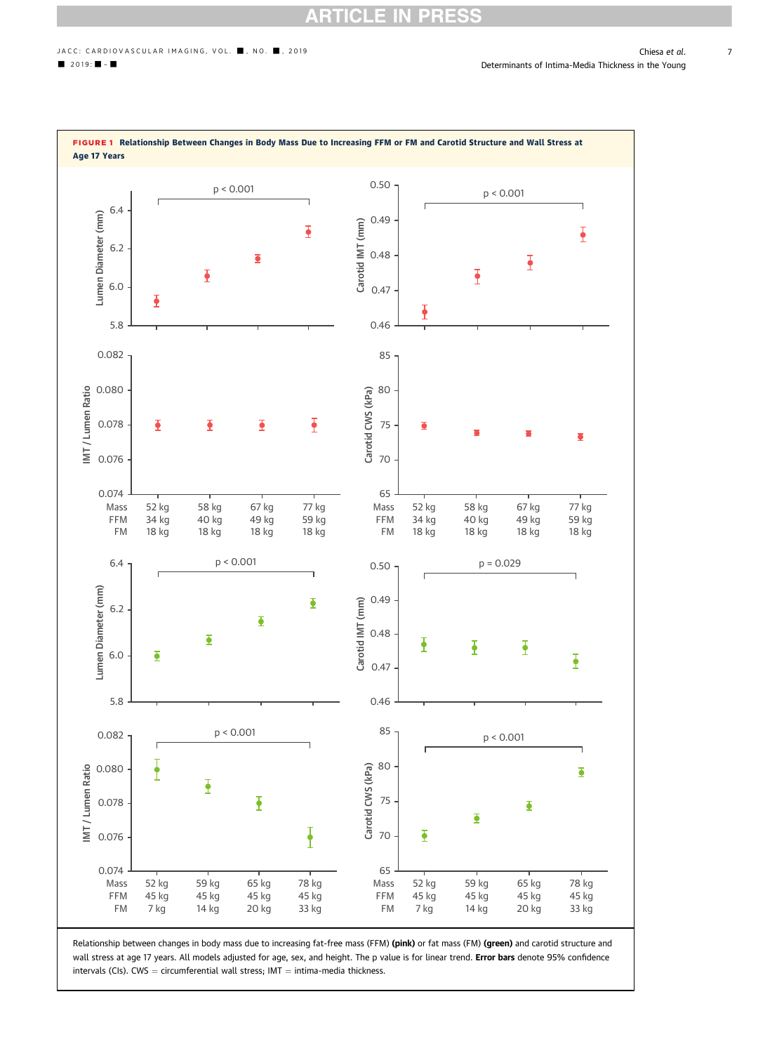### RT **ICLE**

<span id="page-6-0"></span>

Relationship between changes in body mass due to increasing fat-free mass (FFM) (pink) or fat mass (FM) (green) and carotid structure and wall stress at age 17 years. All models adjusted for age, sex, and height. The p value is for linear trend. Error bars denote 95% confidence intervals (CIs).  $CWS =$  circumferential wall stress; IMT  $=$  intima-media thickness.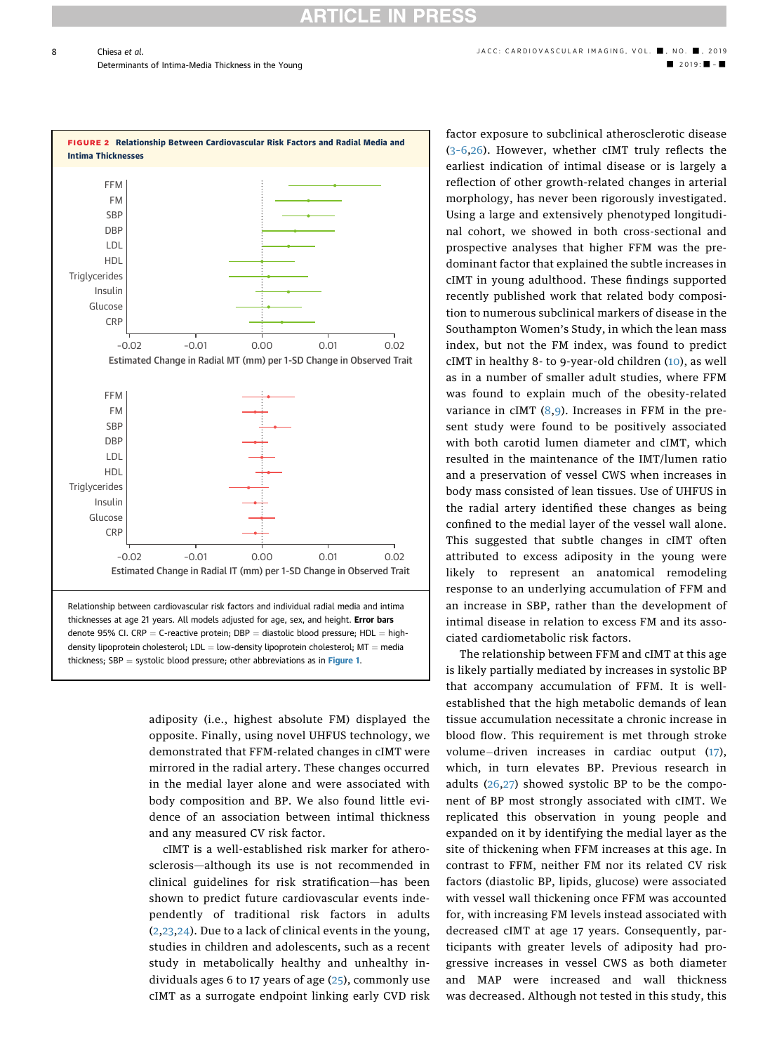**RTICLE IN PRESS** 

<span id="page-7-0"></span>

adiposity (i.e., highest absolute FM) displayed the opposite. Finally, using novel UHFUS technology, we demonstrated that FFM-related changes in cIMT were mirrored in the radial artery. These changes occurred in the medial layer alone and were associated with body composition and BP. We also found little evidence of an association between intimal thickness and any measured CV risk factor.

cIMT is a well-established risk marker for atherosclerosis-although its use is not recommended in clinical guidelines for risk stratification-has been shown to predict future cardiovascular events independently of traditional risk factors in adults ([2,23,24\)](#page-10-0). Due to a lack of clinical events in the young, studies in children and adolescents, such as a recent study in metabolically healthy and unhealthy individuals ages 6 to 17 years of age ([25](#page-10-0)), commonly use cIMT as a surrogate endpoint linking early CVD risk factor exposure to subclinical atherosclerotic disease (3–[6,26](#page-10-0)). However, whether cIMT truly reflects the earliest indication of intimal disease or is largely a reflection of other growth-related changes in arterial morphology, has never been rigorously investigated. Using a large and extensively phenotyped longitudinal cohort, we showed in both cross-sectional and prospective analyses that higher FFM was the predominant factor that explained the subtle increases in cIMT in young adulthood. These findings supported recently published work that related body composition to numerous subclinical markers of disease in the Southampton Women's Study, in which the lean mass index, but not the FM index, was found to predict cIMT in healthy 8- to 9-year-old children [\(10\)](#page-10-0), as well as in a number of smaller adult studies, where FFM was found to explain much of the obesity-related variance in cIMT  $(8,9)$  $(8,9)$  $(8,9)$ . Increases in FFM in the present study were found to be positively associated with both carotid lumen diameter and cIMT, which resulted in the maintenance of the IMT/lumen ratio and a preservation of vessel CWS when increases in body mass consisted of lean tissues. Use of UHFUS in the radial artery identified these changes as being confined to the medial layer of the vessel wall alone. This suggested that subtle changes in cIMT often attributed to excess adiposity in the young were likely to represent an anatomical remodeling response to an underlying accumulation of FFM and an increase in SBP, rather than the development of intimal disease in relation to excess FM and its associated cardiometabolic risk factors.

The relationship between FFM and cIMT at this age is likely partially mediated by increases in systolic BP that accompany accumulation of FFM. It is wellestablished that the high metabolic demands of lean tissue accumulation necessitate a chronic increase in blood flow. This requirement is met through stroke volume-driven increases in cardiac output  $(17)$  $(17)$ , which, in turn elevates BP. Previous research in adults [\(26](#page-10-0),[27](#page-10-0)) showed systolic BP to be the component of BP most strongly associated with cIMT. We replicated this observation in young people and expanded on it by identifying the medial layer as the site of thickening when FFM increases at this age. In contrast to FFM, neither FM nor its related CV risk factors (diastolic BP, lipids, glucose) were associated with vessel wall thickening once FFM was accounted for, with increasing FM levels instead associated with decreased cIMT at age 17 years. Consequently, participants with greater levels of adiposity had progressive increases in vessel CWS as both diameter and MAP were increased and wall thickness was decreased. Although not tested in this study, this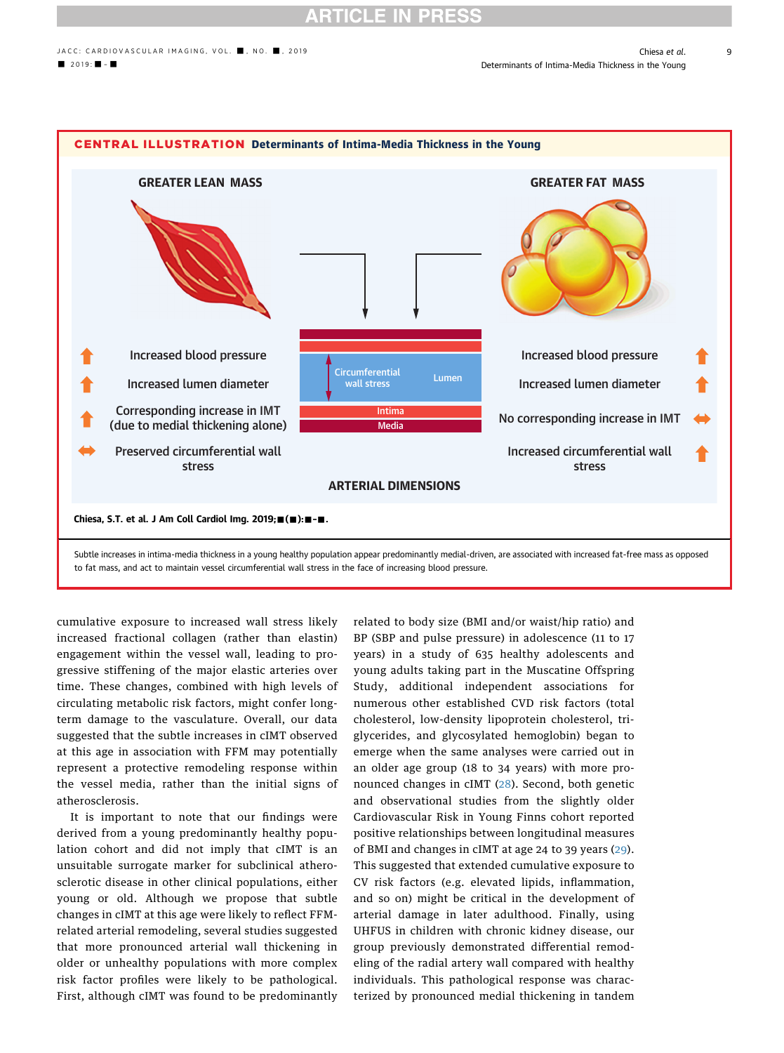## **RTICLE IN PRES**

<span id="page-8-0"></span>

to fat mass, and act to maintain vessel circumferential wall stress in the face of increasing blood pressure.

cumulative exposure to increased wall stress likely increased fractional collagen (rather than elastin) engagement within the vessel wall, leading to progressive stiffening of the major elastic arteries over time. These changes, combined with high levels of circulating metabolic risk factors, might confer longterm damage to the vasculature. Overall, our data suggested that the subtle increases in cIMT observed at this age in association with FFM may potentially represent a protective remodeling response within the vessel media, rather than the initial signs of atherosclerosis.

It is important to note that our findings were derived from a young predominantly healthy population cohort and did not imply that cIMT is an unsuitable surrogate marker for subclinical atherosclerotic disease in other clinical populations, either young or old. Although we propose that subtle changes in cIMT at this age were likely to reflect FFMrelated arterial remodeling, several studies suggested that more pronounced arterial wall thickening in older or unhealthy populations with more complex risk factor profiles were likely to be pathological. First, although cIMT was found to be predominantly related to body size (BMI and/or waist/hip ratio) and BP (SBP and pulse pressure) in adolescence (11 to 17 years) in a study of 635 healthy adolescents and young adults taking part in the Muscatine Offspring Study, additional independent associations for numerous other established CVD risk factors (total cholesterol, low-density lipoprotein cholesterol, triglycerides, and glycosylated hemoglobin) began to emerge when the same analyses were carried out in an older age group (18 to 34 years) with more pronounced changes in cIMT ([28\)](#page-10-0). Second, both genetic and observational studies from the slightly older Cardiovascular Risk in Young Finns cohort reported positive relationships between longitudinal measures of BMI and changes in cIMT at age 24 to 39 years ([29](#page-10-0)). This suggested that extended cumulative exposure to CV risk factors (e.g. elevated lipids, inflammation, and so on) might be critical in the development of arterial damage in later adulthood. Finally, using UHFUS in children with chronic kidney disease, our group previously demonstrated differential remodeling of the radial artery wall compared with healthy individuals. This pathological response was characterized by pronounced medial thickening in tandem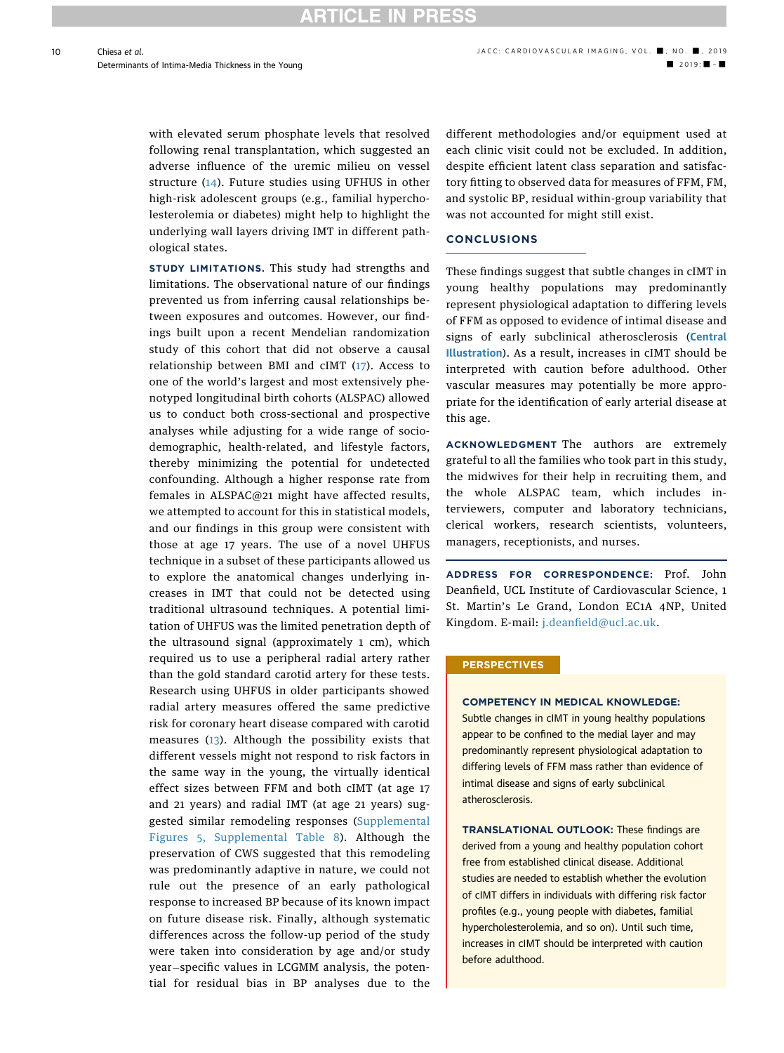10

with elevated serum phosphate levels that resolved following renal transplantation, which suggested an adverse influence of the uremic milieu on vessel structure [\(14\)](#page-10-0). Future studies using UFHUS in other high-risk adolescent groups (e.g., familial hypercholesterolemia or diabetes) might help to highlight the underlying wall layers driving IMT in different pathological states.

STUDY LIMITATIONS. This study had strengths and limitations. The observational nature of our findings prevented us from inferring causal relationships between exposures and outcomes. However, our findings built upon a recent Mendelian randomization study of this cohort that did not observe a causal relationship between BMI and cIMT ([17](#page-10-0)). Access to one of the world's largest and most extensively phenotyped longitudinal birth cohorts (ALSPAC) allowed us to conduct both cross-sectional and prospective analyses while adjusting for a wide range of sociodemographic, health-related, and lifestyle factors, thereby minimizing the potential for undetected confounding. Although a higher response rate from females in ALSPAC@21 might have affected results, we attempted to account for this in statistical models, and our findings in this group were consistent with those at age 17 years. The use of a novel UHFUS technique in a subset of these participants allowed us to explore the anatomical changes underlying increases in IMT that could not be detected using traditional ultrasound techniques. A potential limitation of UHFUS was the limited penetration depth of the ultrasound signal (approximately 1 cm), which required us to use a peripheral radial artery rather than the gold standard carotid artery for these tests. Research using UHFUS in older participants showed radial artery measures offered the same predictive risk for coronary heart disease compared with carotid measures ([13\)](#page-10-0). Although the possibility exists that different vessels might not respond to risk factors in the same way in the young, the virtually identical effect sizes between FFM and both cIMT (at age 17 and 21 years) and radial IMT (at age 21 years) suggested similar remodeling responses ([Supplemental](https://doi.org/10.1016/j.jcmg.2019.08.026) [Figures 5, Supplemental Table 8\)](https://doi.org/10.1016/j.jcmg.2019.08.026). Although the preservation of CWS suggested that this remodeling was predominantly adaptive in nature, we could not rule out the presence of an early pathological response to increased BP because of its known impact on future disease risk. Finally, although systematic differences across the follow-up period of the study were taken into consideration by age and/or study year-specific values in LCGMM analysis, the potential for residual bias in BP analyses due to the

different methodologies and/or equipment used at each clinic visit could not be excluded. In addition, despite efficient latent class separation and satisfactory fitting to observed data for measures of FFM, FM, and systolic BP, residual within-group variability that was not accounted for might still exist.

### **CONCLUSIONS**

These findings suggest that subtle changes in cIMT in young healthy populations may predominantly represent physiological adaptation to differing levels of FFM as opposed to evidence of intimal disease and signs of early subclinical atherosclerosis ([Central](#page-8-0) [Illustration](#page-8-0)). As a result, increases in cIMT should be interpreted with caution before adulthood. Other vascular measures may potentially be more appropriate for the identification of early arterial disease at this age.

ACKNOWLEDGMENT The authors are extremely grateful to all the families who took part in this study, the midwives for their help in recruiting them, and the whole ALSPAC team, which includes interviewers, computer and laboratory technicians, clerical workers, research scientists, volunteers, managers, receptionists, and nurses.

ADDRESS FOR CORRESPONDENCE: Prof. John Deanfield, UCL Institute of Cardiovascular Science, 1 St. Martin's Le Grand, London EC1A 4NP, United Kingdom. E-mail: j.deanfi[eld@ucl.ac.uk.](mailto:j.deanfield@ucl.ac.uk)

### **PERSPECTIVES**

### COMPETENCY IN MEDICAL KNOWLEDGE:

Subtle changes in cIMT in young healthy populations appear to be confined to the medial layer and may predominantly represent physiological adaptation to differing levels of FFM mass rather than evidence of intimal disease and signs of early subclinical atherosclerosis.

TRANSLATIONAL OUTLOOK: These findings are derived from a young and healthy population cohort free from established clinical disease. Additional studies are needed to establish whether the evolution of cIMT differs in individuals with differing risk factor profiles (e.g., young people with diabetes, familial hypercholesterolemia, and so on). Until such time, increases in cIMT should be interpreted with caution before adulthood.